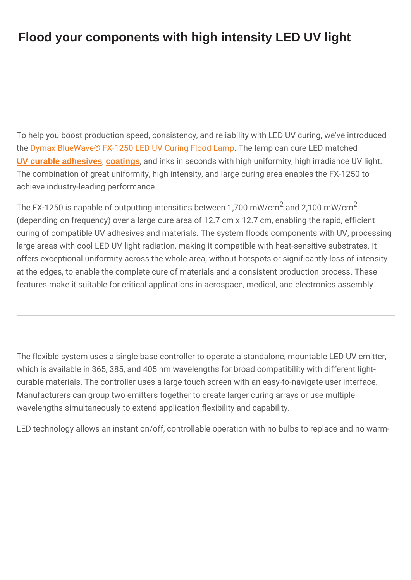## Flood your components with high intensity LED UV light

To help you boost production speed, consistency, and reliability w the Dymax Blue Wave® FX-1250 [L](https://www.intertronics.co.uk/product-category/adhesives/uv-led-adhesives/)ED UV. Cheinig mFplocoadh Lamune LED match [UV curable adhesives](https://www.intertronics.co.uk/product-category/adhesives/uv-led-adhesives/) [, coatings](https://www.intertronics.co.uk/product/fast-uv-cure-conformal-coatings/), and inks in seconds with high uniformity, high The combination of great uniformity, high intensity, and large curi achieve industry-leading performance.

The FX-1250 is capable of outputting intensitians between  $\hat{m}$  W,  $r$  cm  $\hat{m}$  m  $\hat{v}$ (depending on frequency) over a large cure area of 12.7 cm  $x$  12.7 curing of compatible UV adhesives and materials. The system flood large areas with cool LED UV light radiation, making it compatible offers exceptional uniformity across the whole area, without hotsp at the edges, to enable the complete cure of materials and a consi features make it suitable for critical applications in aerospace, me

The flexible system uses a single base controller to operate a star which is available in 365, 385, and 405 nm wavelengths for broad curable materials. The controller uses a large touch screen with a Manufacturers can group two emitters together to create larger cur wavelengths simultaneously to extend application flexibility and ca

LED technology allows an instant on/off, controllable operation with